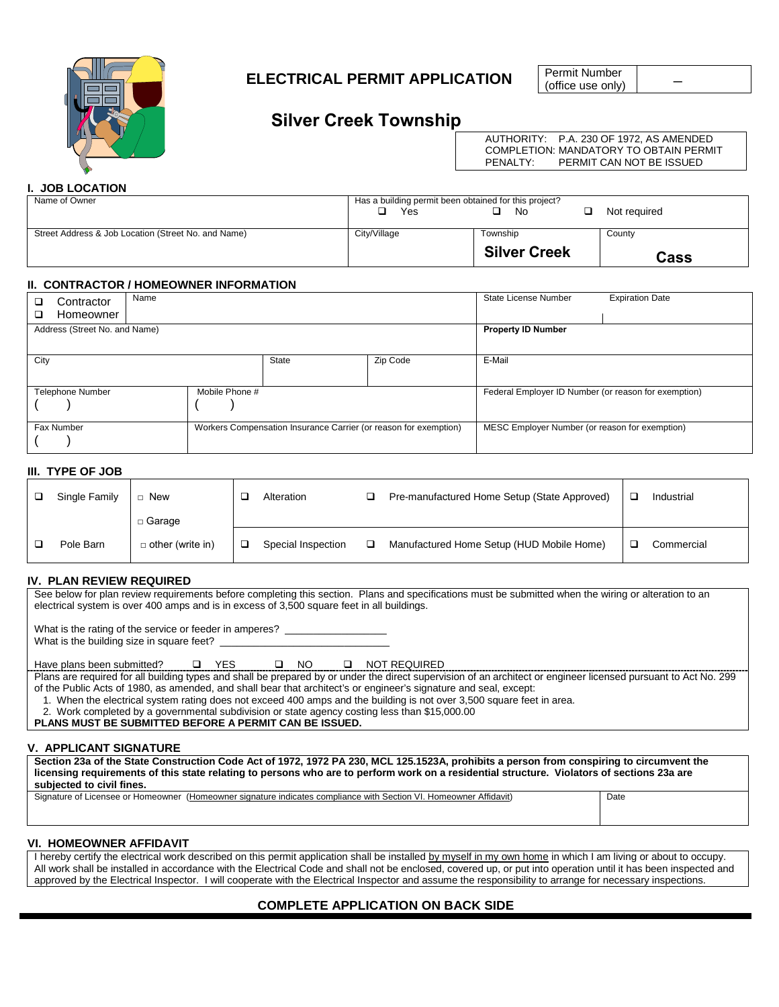

# **ELECTRICAL PERMIT APPLICATION**

Permit Number<br>(office use only)

# **Silver Creek Township**

AUTHORITY: P.A. 230 OF 1972, AS AMENDED COMPLETION: MANDATORY TO OBTAIN PERMIT<br>PENALTY: PERMIT CAN NOT BE ISSUED PERMIT CAN NOT BE ISSUED

# **I. JOB LOCATION**

| Name of Owner                                       | Has a building permit been obtained for this project?<br>Yes<br>Not required<br>No |                     |             |  |  |  |
|-----------------------------------------------------|------------------------------------------------------------------------------------|---------------------|-------------|--|--|--|
| Street Address & Job Location (Street No. and Name) | City/Village                                                                       | Township            | County      |  |  |  |
|                                                     |                                                                                    | <b>Silver Creek</b> | <b>Cass</b> |  |  |  |

#### **II. CONTRACTOR / HOMEOWNER INFORMATION**

| Name<br>Contractor<br>Homeowner<br>□ |                |                                                                  |          | State License Number                                 | <b>Expiration Date</b> |  |  |
|--------------------------------------|----------------|------------------------------------------------------------------|----------|------------------------------------------------------|------------------------|--|--|
| Address (Street No. and Name)        |                |                                                                  |          | <b>Property ID Number</b>                            |                        |  |  |
| City                                 |                | <b>State</b>                                                     | Zip Code | E-Mail                                               |                        |  |  |
| <b>Telephone Number</b>              | Mobile Phone # |                                                                  |          | Federal Employer ID Number (or reason for exemption) |                        |  |  |
| Fax Number                           |                | Workers Compensation Insurance Carrier (or reason for exemption) |          | MESC Employer Number (or reason for exemption)       |                        |  |  |

# **III. TYPE OF JOB**

| Single Family | New                     | Alteration         | ⊐ | Pre-manufactured Home Setup (State Approved) | Industrial |
|---------------|-------------------------|--------------------|---|----------------------------------------------|------------|
|               | $\Box$ Garage           |                    |   |                                              |            |
| Pole Barn     | $\Box$ other (write in) | Special Inspection |   | Manufactured Home Setup (HUD Mobile Home)    | Commercial |

# **IV. PLAN REVIEW REQUIRED**

See below for plan review requirements before completing this section. Plans and specifications must be submitted when the wiring or alteration to an electrical system is over 400 amps and is in excess of 3,500 square feet in all buildings.

What is the rating of the service or feeder in amperes? \_

What is the building size in square feet?

Have plans been submitted?  $\Box$  YES  $\Box$  NO  $\Box$  NOT REQUIRED

Plans are required for all building types and shall be prepared by or under the direct supervision of an architect or engineer licensed pursuant to Act No. 299 of the Public Acts of 1980, as amended, and shall bear that architect's or engineer's signature and seal, except:

1. When the electrical system rating does not exceed 400 amps and the building is not over 3,500 square feet in area.

2. Work completed by a governmental subdivision or state agency costing less than \$15,000.00

**PLANS MUST BE SUBMITTED BEFORE A PERMIT CAN BE ISSUED.**

# **V. APPLICANT SIGNATURE**

**Section 23a of the State Construction Code Act of 1972, 1972 PA 230, MCL 125.1523A, prohibits a person from conspiring to circumvent the licensing requirements of this state relating to persons who are to perform work on a residential structure. Violators of sections 23a are subjected to civil fines.**

Signature of Licensee or Homeowner (Homeowner signature indicates compliance with Section VI. Homeowner Affidavit) Date

#### **VI. HOMEOWNER AFFIDAVIT**

I hereby certify the electrical work described on this permit application shall be installed by myself in my own home in which I am living or about to occupy. All work shall be installed in accordance with the Electrical Code and shall not be enclosed, covered up, or put into operation until it has been inspected and approved by the Electrical Inspector. I will cooperate with the Electrical Inspector and assume the responsibility to arrange for necessary inspections.

# **COMPLETE APPLICATION ON BACK SIDE**